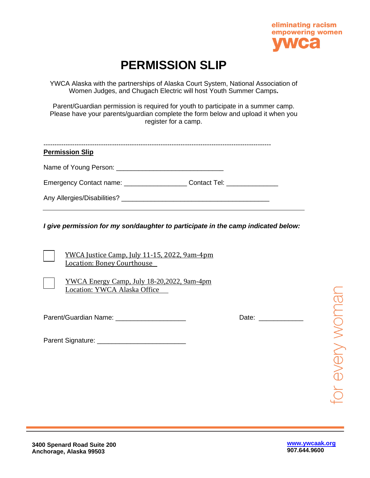

## **PERMISSION SLIP**

YWCA Alaska with the partnerships of Alaska Court System, National Association of Women Judges, and Chugach Electric will host Youth Summer Camps**.** 

Parent/Guardian permission is required for youth to participate in a summer camp. Please have your parents/guardian complete the form below and upload it when you register for a camp.

| <b>Permission Slip</b>                     |                                  |
|--------------------------------------------|----------------------------------|
|                                            |                                  |
| Emergency Contact name: __________________ | Contact Tel: <b>Example 2019</b> |
|                                            |                                  |

*I give permission for my son/daughter to participate in the camp indicated below:*

YWCA Justice Camp, July 11-15, 2022, 9am-4pm Location: Boney Courthouse

YWCA Energy Camp, July 18-20,2022, 9am-4pm Location: YWCA Alaska Office

Parent/Guardian Name: \_\_\_\_\_\_\_\_\_\_\_\_\_\_\_\_\_\_\_\_\_\_\_\_\_\_\_\_\_\_\_\_\_\_\_ Date: \_\_\_

Parent Signature: **Example 2018** 

or every woman